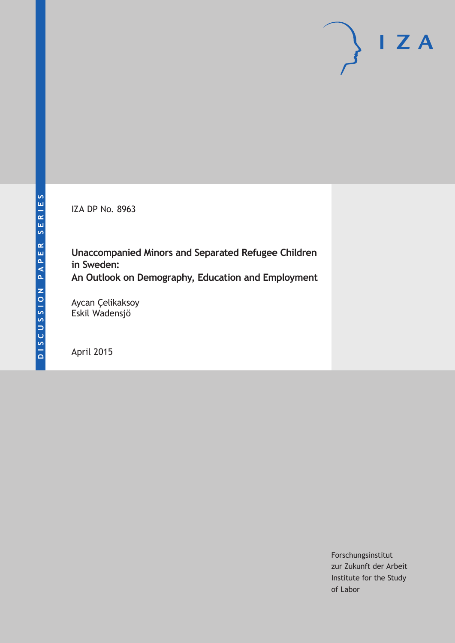IZA DP No. 8963

**Unaccompanied Minors and Separated Refugee Children in Sweden: An Outlook on Demography, Education and Employment**

Aycan Çelikaksoy Eskil Wadensjö

April 2015

Forschungsinstitut zur Zukunft der Arbeit Institute for the Study of Labor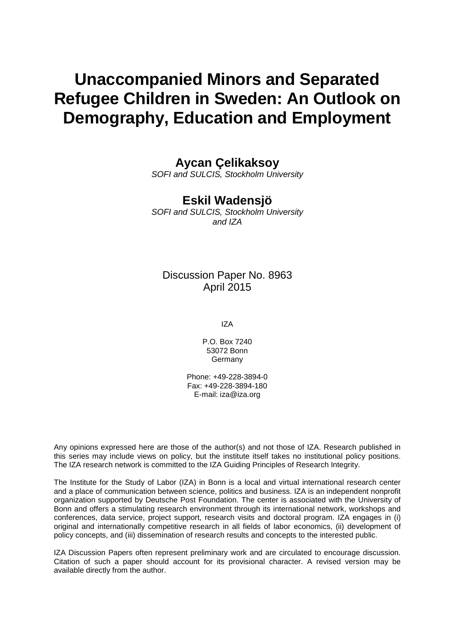# **Unaccompanied Minors and Separated Refugee Children in Sweden: An Outlook on Demography, Education and Employment**

# **Aycan Çelikaksoy**

*SOFI and SULCIS, Stockholm University*

# **Eskil Wadensjö**

*SOFI and SULCIS, Stockholm University and IZA*

# Discussion Paper No. 8963 April 2015

IZA

P.O. Box 7240 53072 Bonn Germany

Phone: +49-228-3894-0 Fax: +49-228-3894-180 E-mail: iza@iza.org

Any opinions expressed here are those of the author(s) and not those of IZA. Research published in this series may include views on policy, but the institute itself takes no institutional policy positions. The IZA research network is committed to the IZA Guiding Principles of Research Integrity.

The Institute for the Study of Labor (IZA) in Bonn is a local and virtual international research center and a place of communication between science, politics and business. IZA is an independent nonprofit organization supported by Deutsche Post Foundation. The center is associated with the University of Bonn and offers a stimulating research environment through its international network, workshops and conferences, data service, project support, research visits and doctoral program. IZA engages in (i) original and internationally competitive research in all fields of labor economics, (ii) development of policy concepts, and (iii) dissemination of research results and concepts to the interested public.

<span id="page-1-0"></span>IZA Discussion Papers often represent preliminary work and are circulated to encourage discussion. Citation of such a paper should account for its provisional character. A revised version may be available directly from the author.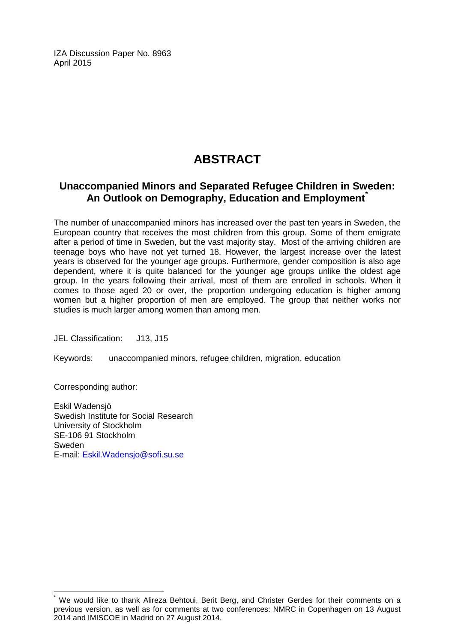IZA Discussion Paper No. 8963 April 2015

# **ABSTRACT**

### **Unaccompanied Minors and Separated Refugee Children in Sweden: An Outlook on Demography, Education and Employment[\\*](#page-1-0)**

The number of unaccompanied minors has increased over the past ten years in Sweden, the European country that receives the most children from this group. Some of them emigrate after a period of time in Sweden, but the vast majority stay. Most of the arriving children are teenage boys who have not yet turned 18. However, the largest increase over the latest years is observed for the younger age groups. Furthermore, gender composition is also age dependent, where it is quite balanced for the younger age groups unlike the oldest age group. In the years following their arrival, most of them are enrolled in schools. When it comes to those aged 20 or over, the proportion undergoing education is higher among women but a higher proportion of men are employed. The group that neither works nor studies is much larger among women than among men.

JEL Classification: J13, J15

Keywords: unaccompanied minors, refugee children, migration, education

Corresponding author:

Eskil Wadensjö Swedish Institute for Social Research University of Stockholm SE-106 91 Stockholm Sweden E-mail: [Eskil.Wadensjo@sofi.su.se](mailto:Eskil.Wadensjo@sofi.su.se)

We would like to thank Alireza Behtoui, Berit Berg, and Christer Gerdes for their comments on a previous version, as well as for comments at two conferences: NMRC in Copenhagen on 13 August 2014 and IMISCOE in Madrid on 27 August 2014.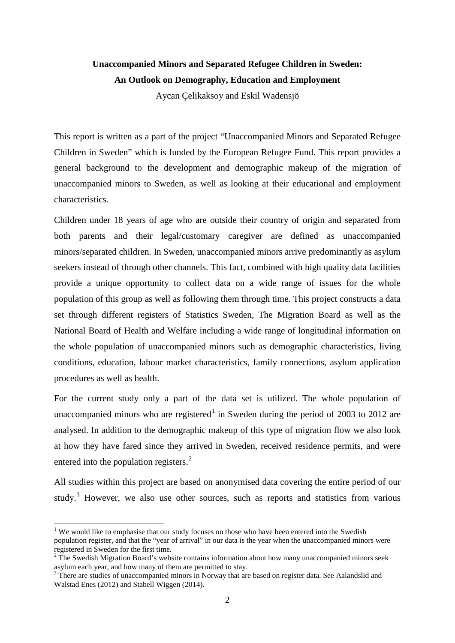## **Unaccompanied Minors and Separated Refugee Children in Sweden: An Outlook on Demography, Education and Employment**

Aycan Çelikaksoy and Eskil Wadensjö

This report is written as a part of the project "Unaccompanied Minors and Separated Refugee Children in Sweden" which is funded by the European Refugee Fund. This report provides a general background to the development and demographic makeup of the migration of unaccompanied minors to Sweden, as well as looking at their educational and employment characteristics.

Children under 18 years of age who are outside their country of origin and separated from both parents and their legal/customary caregiver are defined as unaccompanied minors/separated children. In Sweden, unaccompanied minors arrive predominantly as asylum seekers instead of through other channels. This fact, combined with high quality data facilities provide a unique opportunity to collect data on a wide range of issues for the whole population of this group as well as following them through time. This project constructs a data set through different registers of Statistics Sweden, The Migration Board as well as the National Board of Health and Welfare including a wide range of longitudinal information on the whole population of unaccompanied minors such as demographic characteristics, living conditions, education, labour market characteristics, family connections, asylum application procedures as well as health.

For the current study only a part of the data set is utilized. The whole population of unaccompanied minors who are registered<sup>1</sup> in Sweden during the period of 2003 to 2012 are analysed. In addition to the demographic makeup of this type of migration flow we also look at how they have fared since they arrived in Sweden, received residence permits, and were entered into the population registers.<sup>[2](#page-3-0)</sup>

<span id="page-3-2"></span>All studies within this project are based on anonymised data covering the entire period of our study. $3$  However, we also use other sources, such as reports and statistics from various

<sup>&</sup>lt;sup>1</sup> We would like to emphasise that our study focuses on those who have been entered into the Swedish population register, and that the "year of arrival" in our data is the year when the unaccompanied minors were registered in Sweden for the first time.

<span id="page-3-0"></span> $2^2$  The Swedish Migration Board's website contains information about how many unaccompanied minors seek asylum each year, and how many of them are permitted to stay.

<span id="page-3-1"></span> $3$  There are studies of unaccompanied minors in Norway that are based on register data. See Aalandslid and Walstad Enes (2012) and Stabell Wiggen (2014).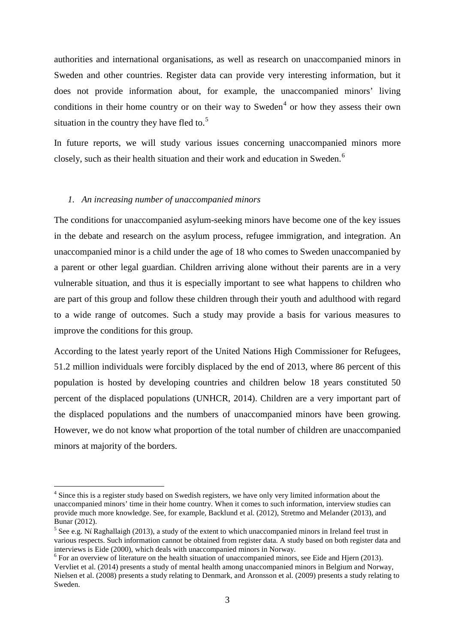authorities and international organisations, as well as research on unaccompanied minors in Sweden and other countries. Register data can provide very interesting information, but it does not provide information about, for example, the unaccompanied minors' living conditions in their home country or on their way to Sweden<sup>[4](#page-3-2)</sup> or how they assess their own situation in the country they have fled to.<sup>[5](#page-4-0)</sup>

In future reports, we will study various issues concerning unaccompanied minors more closely, such as their health situation and their work and education in Sweden.[6](#page-4-1)

#### *1. An increasing number of unaccompanied minors*

The conditions for unaccompanied asylum-seeking minors have become one of the key issues in the debate and research on the asylum process, refugee immigration, and integration. An unaccompanied minor is a child under the age of 18 who comes to Sweden unaccompanied by a parent or other legal guardian. Children arriving alone without their parents are in a very vulnerable situation, and thus it is especially important to see what happens to children who are part of this group and follow these children through their youth and adulthood with regard to a wide range of outcomes. Such a study may provide a basis for various measures to improve the conditions for this group.

According to the latest yearly report of the United Nations High Commissioner for Refugees, 51.2 million individuals were forcibly displaced by the end of 2013, where 86 percent of this population is hosted by developing countries and children below 18 years constituted 50 percent of the displaced populations (UNHCR, 2014). Children are a very important part of the displaced populations and the numbers of unaccompanied minors have been growing. However, we do not know what proportion of the total number of children are unaccompanied minors at majority of the borders.

<sup>&</sup>lt;sup>4</sup> Since this is a register study based on Swedish registers, we have only very limited information about the unaccompanied minors' time in their home country. When it comes to such information, interview studies can provide much more knowledge. See, for example, Backlund et al. (2012), Stretmo and Melander (2013), and Bunar (2012).

<span id="page-4-0"></span><sup>&</sup>lt;sup>5</sup> See e.g. Ní Raghallaigh (2013), a study of the extent to which unaccompanied minors in Ireland feel trust in various respects. Such information cannot be obtained from register data. A study based on both register data and interviews is Eide (2000), which deals with unaccompanied minors in Norway.

<span id="page-4-2"></span><span id="page-4-1"></span><sup>&</sup>lt;sup>6</sup> For an overview of literature on the health situation of unaccompanied minors, see Eide and Hjern (2013). Vervliet et al. (2014) presents a study of mental health among unaccompanied minors in Belgium and Norway, Nielsen et al. (2008) presents a study relating to Denmark, and Aronsson et al. (2009) presents a study relating to Sweden.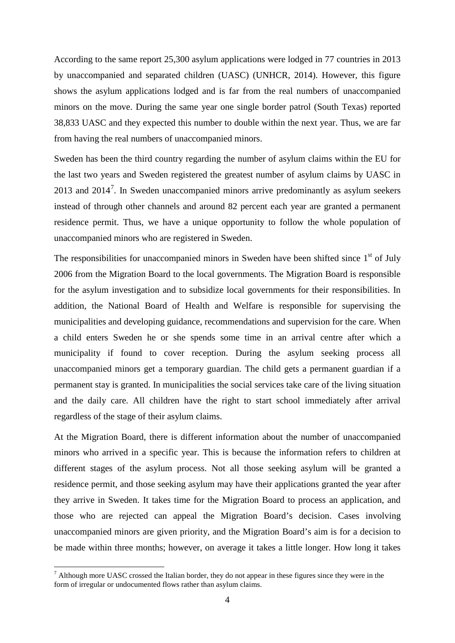According to the same report 25,300 asylum applications were lodged in 77 countries in 2013 by unaccompanied and separated children (UASC) (UNHCR, 2014). However, this figure shows the asylum applications lodged and is far from the real numbers of unaccompanied minors on the move. During the same year one single border patrol (South Texas) reported 38,833 UASC and they expected this number to double within the next year. Thus, we are far from having the real numbers of unaccompanied minors.

Sweden has been the third country regarding the number of asylum claims within the EU for the last two years and Sweden registered the greatest number of asylum claims by UASC in 2013 and  $2014<sup>7</sup>$  $2014<sup>7</sup>$  $2014<sup>7</sup>$ . In Sweden unaccompanied minors arrive predominantly as asylum seekers instead of through other channels and around 82 percent each year are granted a permanent residence permit. Thus, we have a unique opportunity to follow the whole population of unaccompanied minors who are registered in Sweden.

The responsibilities for unaccompanied minors in Sweden have been shifted since  $1<sup>st</sup>$  of July 2006 from the Migration Board to the local governments. The Migration Board is responsible for the asylum investigation and to subsidize local governments for their responsibilities. In addition, the National Board of Health and Welfare is responsible for supervising the municipalities and developing guidance, recommendations and supervision for the care. When a child enters Sweden he or she spends some time in an arrival centre after which a municipality if found to cover reception. During the asylum seeking process all unaccompanied minors get a temporary guardian. The child gets a permanent guardian if a permanent stay is granted. In municipalities the social services take care of the living situation and the daily care. All children have the right to start school immediately after arrival regardless of the stage of their asylum claims.

At the Migration Board, there is different information about the number of unaccompanied minors who arrived in a specific year. This is because the information refers to children at different stages of the asylum process. Not all those seeking asylum will be granted a residence permit, and those seeking asylum may have their applications granted the year after they arrive in Sweden. It takes time for the Migration Board to process an application, and those who are rejected can appeal the Migration Board's decision. Cases involving unaccompanied minors are given priority, and the Migration Board's aim is for a decision to be made within three months; however, on average it takes a little longer. How long it takes

<span id="page-5-0"></span> $<sup>7</sup>$  Although more UASC crossed the Italian border, they do not appear in these figures since they were in the</sup> form of irregular or undocumented flows rather than asylum claims.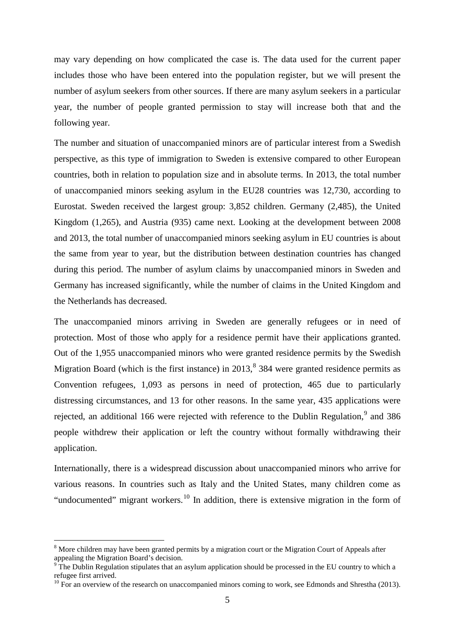may vary depending on how complicated the case is. The data used for the current paper includes those who have been entered into the population register, but we will present the number of asylum seekers from other sources. If there are many asylum seekers in a particular year, the number of people granted permission to stay will increase both that and the following year.

The number and situation of unaccompanied minors are of particular interest from a Swedish perspective, as this type of immigration to Sweden is extensive compared to other European countries, both in relation to population size and in absolute terms. In 2013, the total number of unaccompanied minors seeking asylum in the EU28 countries was 12,730, according to Eurostat. Sweden received the largest group: 3,852 children. Germany (2,485), the United Kingdom (1,265), and Austria (935) came next. Looking at the development between 2008 and 2013, the total number of unaccompanied minors seeking asylum in EU countries is about the same from year to year, but the distribution between destination countries has changed during this period. The number of asylum claims by unaccompanied minors in Sweden and Germany has increased significantly, while the number of claims in the United Kingdom and the Netherlands has decreased.

The unaccompanied minors arriving in Sweden are generally refugees or in need of protection. Most of those who apply for a residence permit have their applications granted. Out of the 1,955 unaccompanied minors who were granted residence permits by the Swedish Migration Board (which is the first instance) in  $2013$ ,  $8384$  $8384$  were granted residence permits as Convention refugees, 1,093 as persons in need of protection, 465 due to particularly distressing circumstances, and 13 for other reasons. In the same year, 435 applications were rejected, an additional 166 were rejected with reference to the Dublin Regulation,<sup>[9](#page-6-0)</sup> and 386 people withdrew their application or left the country without formally withdrawing their application.

<span id="page-6-2"></span>Internationally, there is a widespread discussion about unaccompanied minors who arrive for various reasons. In countries such as Italy and the United States, many children come as "undocumented" migrant workers.<sup>[10](#page-6-1)</sup> In addition, there is extensive migration in the form of

 $8$  More children may have been granted permits by a migration court or the Migration Court of Appeals after appealing the Migration Board's decision.

<span id="page-6-0"></span>The Dublin Regulation stipulates that an asylum application should be processed in the EU country to which a refugee first arrived.

<span id="page-6-1"></span> $10$  For an overview of the research on unaccompanied minors coming to work, see Edmonds and Shrestha (2013).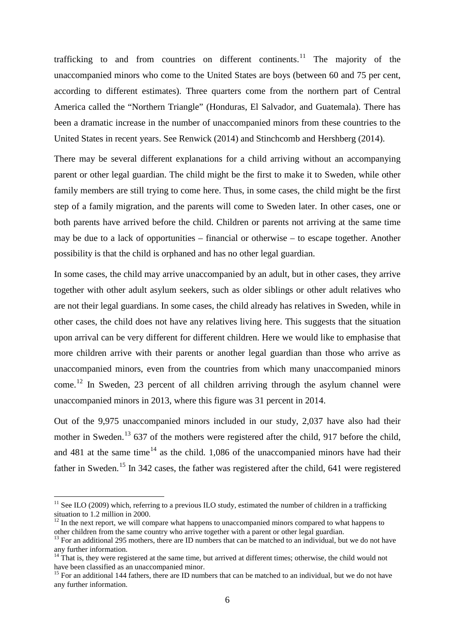trafficking to and from countries on different continents.<sup>[11](#page-6-2)</sup> The majority of the unaccompanied minors who come to the United States are boys (between 60 and 75 per cent, according to different estimates). Three quarters come from the northern part of Central America called the "Northern Triangle" (Honduras, El Salvador, and Guatemala). There has been a dramatic increase in the number of unaccompanied minors from these countries to the United States in recent years. See Renwick (2014) and Stinchcomb and Hershberg (2014).

There may be several different explanations for a child arriving without an accompanying parent or other legal guardian. The child might be the first to make it to Sweden, while other family members are still trying to come here. Thus, in some cases, the child might be the first step of a family migration, and the parents will come to Sweden later. In other cases, one or both parents have arrived before the child. Children or parents not arriving at the same time may be due to a lack of opportunities – financial or otherwise – to escape together. Another possibility is that the child is orphaned and has no other legal guardian.

In some cases, the child may arrive unaccompanied by an adult, but in other cases, they arrive together with other adult asylum seekers, such as older siblings or other adult relatives who are not their legal guardians. In some cases, the child already has relatives in Sweden, while in other cases, the child does not have any relatives living here. This suggests that the situation upon arrival can be very different for different children. Here we would like to emphasise that more children arrive with their parents or another legal guardian than those who arrive as unaccompanied minors, even from the countries from which many unaccompanied minors come.<sup>[12](#page-7-0)</sup> In Sweden, 23 percent of all children arriving through the asylum channel were unaccompanied minors in 2013, where this figure was 31 percent in 2014.

Out of the 9,975 unaccompanied minors included in our study, 2,037 have also had their mother in Sweden.<sup>[13](#page-7-1)</sup> 637 of the mothers were registered after the child, 917 before the child, and 481 at the same time<sup>[14](#page-7-2)</sup> as the child. 1,086 of the unaccompanied minors have had their father in Sweden.<sup>[15](#page-7-3)</sup> In 342 cases, the father was registered after the child, 641 were registered

 $11$  See ILO (2009) which, referring to a previous ILO study, estimated the number of children in a trafficking situation to 1.2 million in 2000.

<span id="page-7-0"></span> $12$  In the next report, we will compare what happens to unaccompanied minors compared to what happens to other children from the same country who arrive together with a parent or other legal guardian.

<span id="page-7-1"></span><sup>&</sup>lt;sup>13</sup> For an additional 295 mothers, there are ID numbers that can be matched to an individual, but we do not have any further information.

<span id="page-7-2"></span> $14$  That is, they were registered at the same time, but arrived at different times; otherwise, the child would not have been classified as an unaccompanied minor.

<span id="page-7-3"></span><sup>&</sup>lt;sup>15</sup> For an additional 144 fathers, there are ID numbers that can be matched to an individual, but we do not have any further information.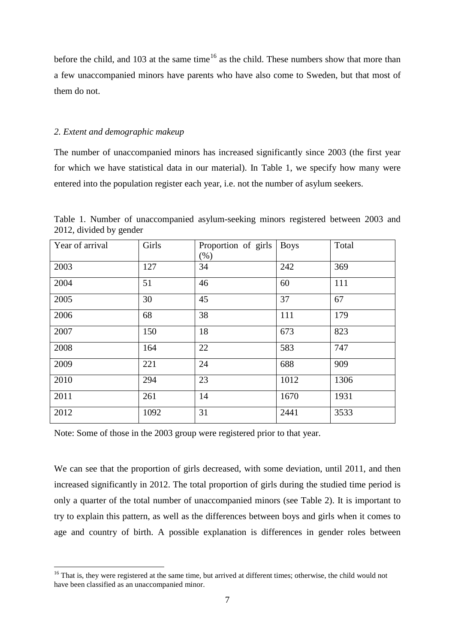before the child, and 103 at the same time<sup>[16](#page-7-3)</sup> as the child. These numbers show that more than a few unaccompanied minors have parents who have also come to Sweden, but that most of them do not.

#### *2. Extent and demographic makeup*

The number of unaccompanied minors has increased significantly since 2003 (the first year for which we have statistical data in our material). In Table 1, we specify how many were entered into the population register each year, i.e. not the number of asylum seekers.

| Year of arrival | Girls | Proportion of girls<br>$(\%)$ | <b>Boys</b> | Total |
|-----------------|-------|-------------------------------|-------------|-------|
| 2003            | 127   | 34                            | 242         | 369   |
| 2004            | 51    | 46                            | 60          | 111   |
| 2005            | 30    | 45                            | 37          | 67    |
| 2006            | 68    | 38                            | 111         | 179   |
| 2007            | 150   | 18                            | 673         | 823   |
| 2008            | 164   | 22                            | 583         | 747   |
| 2009            | 221   | 24                            | 688         | 909   |
| 2010            | 294   | 23                            | 1012        | 1306  |
| 2011            | 261   | 14                            | 1670        | 1931  |
| 2012            | 1092  | 31                            | 2441        | 3533  |

Table 1. Number of unaccompanied asylum-seeking minors registered between 2003 and 2012, divided by gender

Note: Some of those in the 2003 group were registered prior to that year.

We can see that the proportion of girls decreased, with some deviation, until 2011, and then increased significantly in 2012. The total proportion of girls during the studied time period is only a quarter of the total number of unaccompanied minors (see Table 2). It is important to try to explain this pattern, as well as the differences between boys and girls when it comes to age and country of birth. A possible explanation is differences in gender roles between

<span id="page-8-0"></span><sup>&</sup>lt;sup>16</sup> That is, they were registered at the same time, but arrived at different times; otherwise, the child would not have been classified as an unaccompanied minor.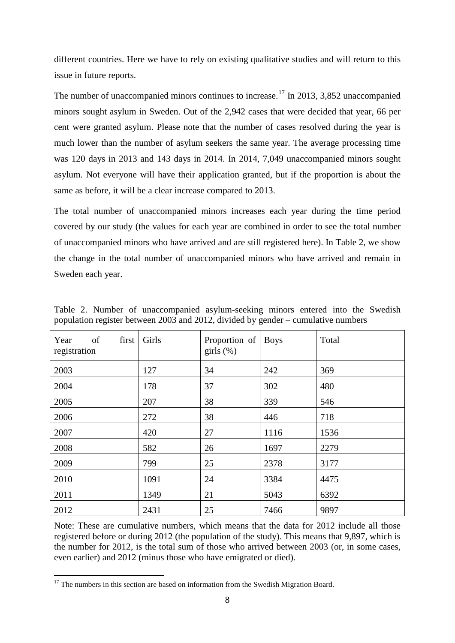different countries. Here we have to rely on existing qualitative studies and will return to this issue in future reports.

The number of unaccompanied minors continues to increase.<sup>[17](#page-8-0)</sup> In 2013, 3,852 unaccompanied minors sought asylum in Sweden. Out of the 2,942 cases that were decided that year, 66 per cent were granted asylum. Please note that the number of cases resolved during the year is much lower than the number of asylum seekers the same year. The average processing time was 120 days in 2013 and 143 days in 2014. In 2014, 7,049 unaccompanied minors sought asylum. Not everyone will have their application granted, but if the proportion is about the same as before, it will be a clear increase compared to 2013.

The total number of unaccompanied minors increases each year during the time period covered by our study (the values for each year are combined in order to see the total number of unaccompanied minors who have arrived and are still registered here). In Table 2, we show the change in the total number of unaccompanied minors who have arrived and remain in Sweden each year.

| of<br>Year<br>first<br>registration | Girls | Proportion of<br>girls $(\%)$ | <b>Boys</b> | Total |
|-------------------------------------|-------|-------------------------------|-------------|-------|
| 2003                                | 127   | 34                            | 242         | 369   |
| 2004                                | 178   | 37                            | 302         | 480   |
| 2005                                | 207   | 38                            | 339         | 546   |
| 2006                                | 272   | 38                            | 446         | 718   |
| 2007                                | 420   | 27                            | 1116        | 1536  |
| 2008                                | 582   | 26                            | 1697        | 2279  |
| 2009                                | 799   | 25                            | 2378        | 3177  |
| 2010                                | 1091  | 24                            | 3384        | 4475  |
| 2011                                | 1349  | 21                            | 5043        | 6392  |
| 2012                                | 2431  | 25                            | 7466        | 9897  |

Table 2. Number of unaccompanied asylum-seeking minors entered into the Swedish population register between 2003 and 2012, divided by gender – cumulative numbers

Note: These are cumulative numbers, which means that the data for 2012 include all those registered before or during 2012 (the population of the study). This means that 9,897, which is the number for 2012, is the total sum of those who arrived between 2003 (or, in some cases, even earlier) and 2012 (minus those who have emigrated or died).

<span id="page-9-0"></span> $17$  The numbers in this section are based on information from the Swedish Migration Board.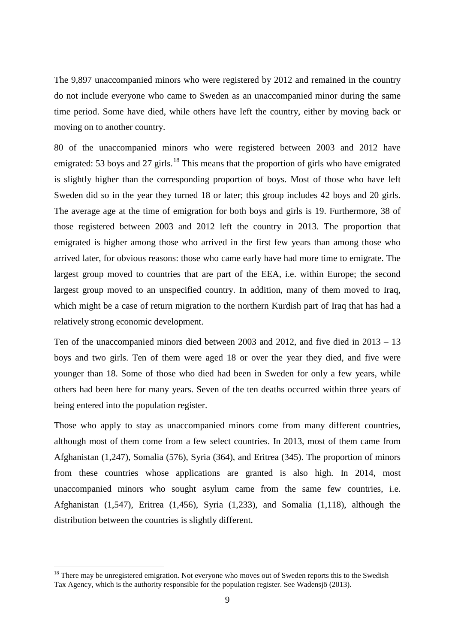The 9,897 unaccompanied minors who were registered by 2012 and remained in the country do not include everyone who came to Sweden as an unaccompanied minor during the same time period. Some have died, while others have left the country, either by moving back or moving on to another country.

80 of the unaccompanied minors who were registered between 2003 and 2012 have emigrated: 53 boys and 27 girls.<sup>[18](#page-9-0)</sup> This means that the proportion of girls who have emigrated is slightly higher than the corresponding proportion of boys. Most of those who have left Sweden did so in the year they turned 18 or later; this group includes 42 boys and 20 girls. The average age at the time of emigration for both boys and girls is 19. Furthermore, 38 of those registered between 2003 and 2012 left the country in 2013. The proportion that emigrated is higher among those who arrived in the first few years than among those who arrived later, for obvious reasons: those who came early have had more time to emigrate. The largest group moved to countries that are part of the EEA, i.e. within Europe; the second largest group moved to an unspecified country. In addition, many of them moved to Iraq, which might be a case of return migration to the northern Kurdish part of Iraq that has had a relatively strong economic development.

Ten of the unaccompanied minors died between 2003 and 2012, and five died in 2013 – 13 boys and two girls. Ten of them were aged 18 or over the year they died, and five were younger than 18. Some of those who died had been in Sweden for only a few years, while others had been here for many years. Seven of the ten deaths occurred within three years of being entered into the population register.

Those who apply to stay as unaccompanied minors come from many different countries, although most of them come from a few select countries. In 2013, most of them came from Afghanistan (1,247), Somalia (576), Syria (364), and Eritrea (345). The proportion of minors from these countries whose applications are granted is also high. In 2014, most unaccompanied minors who sought asylum came from the same few countries, i.e. Afghanistan (1,547), Eritrea (1,456), Syria (1,233), and Somalia (1,118), although the distribution between the countries is slightly different.

<span id="page-10-0"></span> $18$  There may be unregistered emigration. Not everyone who moves out of Sweden reports this to the Swedish Tax Agency, which is the authority responsible for the population register. See Wadensjö (2013).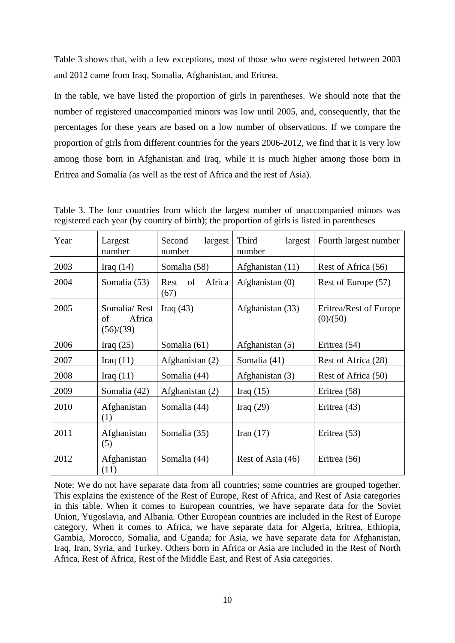Table 3 shows that, with a few exceptions, most of those who were registered between 2003 and 2012 came from Iraq, Somalia, Afghanistan, and Eritrea.

In the table, we have listed the proportion of girls in parentheses. We should note that the number of registered unaccompanied minors was low until 2005, and, consequently, that the percentages for these years are based on a low number of observations. If we compare the proportion of girls from different countries for the years 2006-2012, we find that it is very low among those born in Afghanistan and Iraq, while it is much higher among those born in Eritrea and Somalia (as well as the rest of Africa and the rest of Asia).

| Year | Largest<br>number                         | largest<br>Second<br>number  | Third<br>largest<br>number | Fourth largest number              |
|------|-------------------------------------------|------------------------------|----------------------------|------------------------------------|
| 2003 | Iraq $(14)$                               | Somalia (58)                 | Afghanistan (11)           | Rest of Africa (56)                |
| 2004 | Somalia (53)                              | Africa<br>Rest<br>of<br>(67) | Afghanistan (0)            | Rest of Europe (57)                |
| 2005 | Somalia/Rest<br>Africa<br>οf<br>(56)/(39) | Iraq $(43)$                  | Afghanistan (33)           | Eritrea/Rest of Europe<br>(0)/(50) |
| 2006 | Iraq $(25)$                               | Somalia (61)                 | Afghanistan (5)            | Eritrea (54)                       |
| 2007 | Iraq $(11)$                               | Afghanistan (2)              | Somalia (41)               | Rest of Africa (28)                |
| 2008 | Iraq $(11)$                               | Somalia (44)                 | Afghanistan (3)            | Rest of Africa (50)                |
| 2009 | Somalia (42)                              | Afghanistan (2)              | Iraq $(15)$                | Eritrea (58)                       |
| 2010 | Afghanistan<br>(1)                        | Somalia (44)                 | Iraq $(29)$                | Eritrea (43)                       |
| 2011 | Afghanistan<br>(5)                        | Somalia (35)                 | Iran $(17)$                | Eritrea (53)                       |
| 2012 | Afghanistan<br>(11)                       | Somalia (44)                 | Rest of Asia (46)          | Eritrea (56)                       |

Table 3. The four countries from which the largest number of unaccompanied minors was registered each year (by country of birth); the proportion of girls is listed in parentheses

Note: We do not have separate data from all countries; some countries are grouped together. This explains the existence of the Rest of Europe, Rest of Africa, and Rest of Asia categories in this table. When it comes to European countries, we have separate data for the Soviet Union, Yugoslavia, and Albania. Other European countries are included in the Rest of Europe category. When it comes to Africa, we have separate data for Algeria, Eritrea, Ethiopia, Gambia, Morocco, Somalia, and Uganda; for Asia, we have separate data for Afghanistan, Iraq, Iran, Syria, and Turkey. Others born in Africa or Asia are included in the Rest of North Africa, Rest of Africa, Rest of the Middle East, and Rest of Asia categories.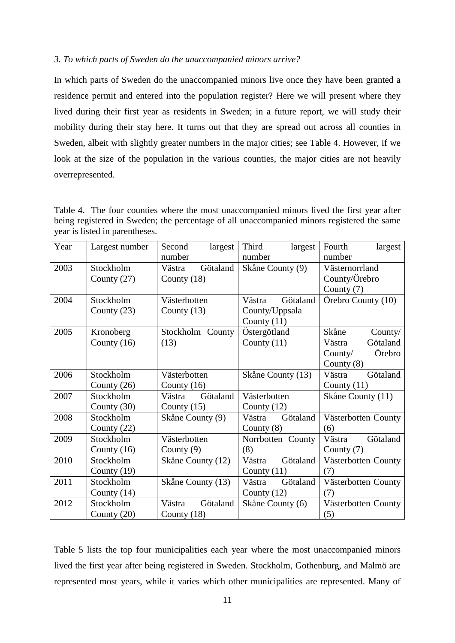#### *3. To which parts of Sweden do the unaccompanied minors arrive?*

In which parts of Sweden do the unaccompanied minors live once they have been granted a residence permit and entered into the population register? Here we will present where they lived during their first year as residents in Sweden; in a future report, we will study their mobility during their stay here. It turns out that they are spread out across all counties in Sweden, albeit with slightly greater numbers in the major cities; see Table 4. However, if we look at the size of the population in the various counties, the major cities are not heavily overrepresented.

Table 4. The four counties where the most unaccompanied minors lived the first year after being registered in Sweden; the percentage of all unaccompanied minors registered the same year is listed in parentheses.

| Year | Largest number | Second<br>largest<br>number | Third<br>largest<br>number | Fourth<br>largest<br>number |
|------|----------------|-----------------------------|----------------------------|-----------------------------|
| 2003 | Stockholm      | Götaland<br>Västra          | Skåne County (9)           | Västernorrland              |
|      | County $(27)$  | County (18)                 |                            | County/Örebro               |
|      |                |                             |                            | County (7)                  |
| 2004 | Stockholm      | Västerbotten                | Götaland<br>Västra         | Örebro County (10)          |
|      | County $(23)$  | County $(13)$               | County/Uppsala             |                             |
|      |                |                             | County $(11)$              |                             |
| 2005 | Kronoberg      | Stockholm County            | Östergötland               | Skåne<br>County/            |
|      | County $(16)$  | (13)                        | County $(11)$              | Götaland<br>Västra          |
|      |                |                             |                            | Örebro<br>Country/          |
|      |                |                             |                            | County $(8)$                |
| 2006 | Stockholm      | Västerbotten                | Skåne County (13)          | Götaland<br>Västra          |
|      | County $(26)$  | County $(16)$               |                            | County $(11)$               |
| 2007 | Stockholm      | Götaland<br>Västra          | Västerbotten               | Skåne County (11)           |
|      | County $(30)$  | County $(15)$               | County $(12)$              |                             |
| 2008 | Stockholm      | Skåne County (9)            | Götaland<br>Västra         | Västerbotten County         |
|      | County $(22)$  |                             | County $(8)$               | (6)                         |
| 2009 | Stockholm      | Västerbotten                | Norrbotten County          | Götaland<br>Västra          |
|      | County $(16)$  | County $(9)$                | (8)                        | County $(7)$                |
| 2010 | Stockholm      | Skåne County (12)           | Götaland<br>Västra         | Västerbotten County         |
|      | County $(19)$  |                             | County $(11)$              | (7)                         |
| 2011 | Stockholm      | Skåne County (13)           | Götaland<br>Västra         | Västerbotten County         |
|      | County $(14)$  |                             | County $(12)$              | (7)                         |
| 2012 | Stockholm      | Götaland<br>Västra          | Skåne County (6)           | Västerbotten County         |
|      | County $(20)$  | County $(18)$               |                            | (5)                         |

Table 5 lists the top four municipalities each year where the most unaccompanied minors lived the first year after being registered in Sweden. Stockholm, Gothenburg, and Malmö are represented most years, while it varies which other municipalities are represented. Many of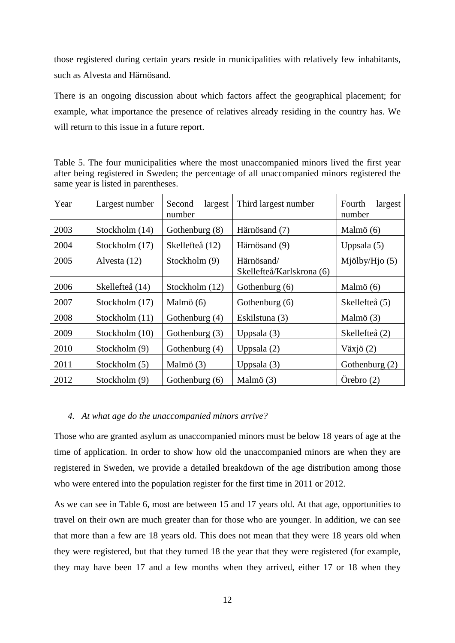those registered during certain years reside in municipalities with relatively few inhabitants, such as Alvesta and Härnösand.

There is an ongoing discussion about which factors affect the geographical placement; for example, what importance the presence of relatives already residing in the country has. We will return to this issue in a future report.

Table 5. The four municipalities where the most unaccompanied minors lived the first year after being registered in Sweden; the percentage of all unaccompanied minors registered the same year is listed in parentheses.

| Year | Largest number  | largest<br>Second<br>number | Third largest number                    | Fourth<br>largest<br>number |  |  |
|------|-----------------|-----------------------------|-----------------------------------------|-----------------------------|--|--|
| 2003 | Stockholm (14)  | Gothenburg (8)              | Härnösand (7)                           | Malmö (6)                   |  |  |
| 2004 | Stockholm (17)  | Skellefteå (12)             | Härnösand (9)                           | Uppsala $(5)$               |  |  |
| 2005 | Alvesta (12)    | Stockholm (9)               | Härnösand/<br>Skellefteå/Karlskrona (6) | Mjölby/Hjo $(5)$            |  |  |
| 2006 | Skellefteå (14) | Stockholm (12)              | Gothenburg (6)                          | Malmö (6)                   |  |  |
| 2007 | Stockholm (17)  | Malmö (6)                   | Gothenburg (6)                          | Skellefteå (5)              |  |  |
| 2008 | Stockholm (11)  | Gothenburg (4)              | Eskilstuna (3)                          | Malmö (3)                   |  |  |
| 2009 | Stockholm (10)  | Gothenburg (3)              | Uppsala $(3)$                           | Skellefteå (2)              |  |  |
| 2010 | Stockholm (9)   | Gothenburg (4)              | Uppsala $(2)$                           | Växjö $(2)$                 |  |  |
| 2011 | Stockholm (5)   | Malmö (3)                   | Uppsala $(3)$                           | Gothenburg (2)              |  |  |
| 2012 | Stockholm (9)   | Gothenburg (6)              | Malmö (3)                               | $O$ rebro $(2)$             |  |  |

#### *4. At what age do the unaccompanied minors arrive?*

Those who are granted asylum as unaccompanied minors must be below 18 years of age at the time of application. In order to show how old the unaccompanied minors are when they are registered in Sweden, we provide a detailed breakdown of the age distribution among those who were entered into the population register for the first time in 2011 or 2012.

As we can see in Table 6, most are between 15 and 17 years old. At that age, opportunities to travel on their own are much greater than for those who are younger. In addition, we can see that more than a few are 18 years old. This does not mean that they were 18 years old when they were registered, but that they turned 18 the year that they were registered (for example, they may have been 17 and a few months when they arrived, either 17 or 18 when they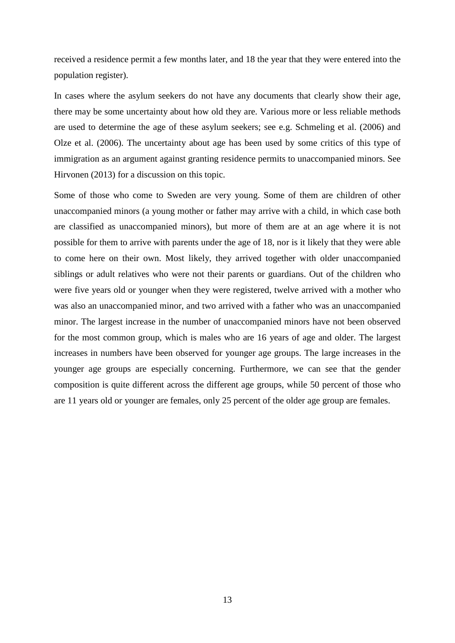received a residence permit a few months later, and 18 the year that they were entered into the population register).

In cases where the asylum seekers do not have any documents that clearly show their age, there may be some uncertainty about how old they are. Various more or less reliable methods are used to determine the age of these asylum seekers; see e.g. Schmeling et al. (2006) and Olze et al. (2006). The uncertainty about age has been used by some critics of this type of immigration as an argument against granting residence permits to unaccompanied minors. See Hirvonen (2013) for a discussion on this topic.

Some of those who come to Sweden are very young. Some of them are children of other unaccompanied minors (a young mother or father may arrive with a child, in which case both are classified as unaccompanied minors), but more of them are at an age where it is not possible for them to arrive with parents under the age of 18, nor is it likely that they were able to come here on their own. Most likely, they arrived together with older unaccompanied siblings or adult relatives who were not their parents or guardians. Out of the children who were five years old or younger when they were registered, twelve arrived with a mother who was also an unaccompanied minor, and two arrived with a father who was an unaccompanied minor. The largest increase in the number of unaccompanied minors have not been observed for the most common group, which is males who are 16 years of age and older. The largest increases in numbers have been observed for younger age groups. The large increases in the younger age groups are especially concerning. Furthermore, we can see that the gender composition is quite different across the different age groups, while 50 percent of those who are 11 years old or younger are females, only 25 percent of the older age group are females.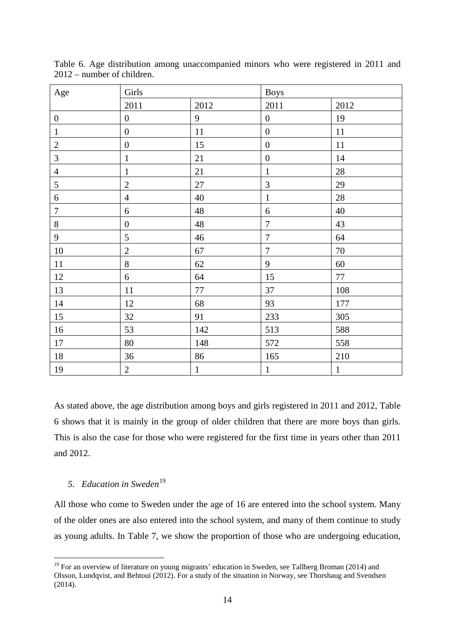| Age              | Girls            |              | <b>Boys</b>      |              |  |
|------------------|------------------|--------------|------------------|--------------|--|
|                  | 2011             | 2012         | 2011             | 2012         |  |
| $\boldsymbol{0}$ | $\boldsymbol{0}$ | 9            | $\boldsymbol{0}$ | 19           |  |
| $\mathbf 1$      | $\boldsymbol{0}$ | 11           | $\boldsymbol{0}$ | $11\,$       |  |
| $\overline{c}$   | $\boldsymbol{0}$ | 15           | $\boldsymbol{0}$ | 11           |  |
| $\overline{3}$   | $\mathbf{1}$     | 21           | $\boldsymbol{0}$ | 14           |  |
| $\overline{4}$   | $\mathbf{1}$     | 21           | $\mathbf{1}$     | 28           |  |
| 5                | $\overline{2}$   | 27           | $\overline{3}$   | 29           |  |
| $\sqrt{6}$       | $\overline{4}$   | 40           | $\mathbf{1}$     | 28           |  |
| $\boldsymbol{7}$ | 6                | 48           | 6                | 40           |  |
| $8\,$            | $\boldsymbol{0}$ | 48           | $\overline{7}$   | 43           |  |
| $\mathbf{9}$     | 5                | 46           | $\overline{7}$   | 64           |  |
| $10\,$           | $\overline{c}$   | 67           | $\boldsymbol{7}$ | $70\,$       |  |
| $11\,$           | 8                | 62           | 9                | 60           |  |
| $12\,$           | $\boldsymbol{6}$ | 64           | 15               | $77\,$       |  |
| 13               | 11               | $77 \,$      | 37               | 108          |  |
| 14               | 12               | 68           | 93               | 177          |  |
| 15               | 32               | 91           | 233              | 305          |  |
| 16               | 53               | 142          | 513              | 588          |  |
| $17\,$           | 80               | 148          | 572              | 558          |  |
| $18\,$           | 36               | 86           | 165              | 210          |  |
| 19               | $\overline{c}$   | $\mathbf{1}$ | $\,1\,$          | $\mathbf{1}$ |  |

Table 6. Age distribution among unaccompanied minors who were registered in 2011 and 2012 – number of children.

As stated above, the age distribution among boys and girls registered in 2011 and 2012, Table 6 shows that it is mainly in the group of older children that there are more boys than girls. This is also the case for those who were registered for the first time in years other than 2011 and 2012.

### 5. *Education in Sweden*<sup>[19](#page-10-0)</sup>

All those who come to Sweden under the age of 16 are entered into the school system. Many of the older ones are also entered into the school system, and many of them continue to study as young adults. In Table 7, we show the proportion of those who are undergoing education,

<span id="page-15-0"></span><sup>&</sup>lt;sup>19</sup> For an overview of literature on young migrants' education in Sweden, see Tallberg Broman (2014) and Olsson, Lundqvist, and Behtoui (2012). For a study of the situation in Norway, see Thorshaug and Svendsen (2014).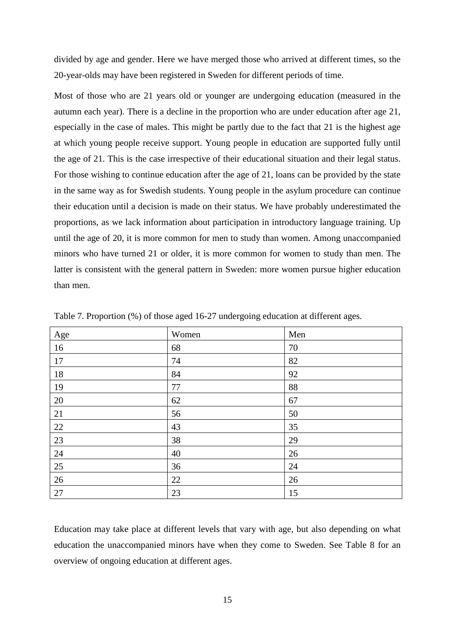divided by age and gender. Here we have merged those who arrived at different times, so the 20-year-olds may have been registered in Sweden for different periods of time.

Most of those who are 21 years old or younger are undergoing education (measured in the autumn each year). There is a decline in the proportion who are under education after age 21, especially in the case of males. This might be partly due to the fact that 21 is the highest age at which young people receive support. Young people in education are supported fully until the age of 21. This is the case irrespective of their educational situation and their legal status. For those wishing to continue education after the age of 21, loans can be provided by the state in the same way as for Swedish students. Young people in the asylum procedure can continue their education until a decision is made on their status. We have probably underestimated the proportions, as we lack information about participation in introductory language training. Up until the age of 20, it is more common for men to study than women. Among unaccompanied minors who have turned 21 or older, it is more common for women to study than men. The latter is consistent with the general pattern in Sweden: more women pursue higher education than men.

| Age | Women | Men |
|-----|-------|-----|
| 16  | 68    | 70  |
| 17  | 74    | 82  |
| 18  | 84    | 92  |
| 19  | 77    | 88  |
| 20  | 62    | 67  |
| 21  | 56    | 50  |
| 22  | 43    | 35  |
| 23  | 38    | 29  |
| 24  | 40    | 26  |
| 25  | 36    | 24  |
| 26  | 22    | 26  |
| 27  | 23    | 15  |

Table 7. Proportion (%) of those aged 16-27 undergoing education at different ages.

Education may take place at different levels that vary with age, but also depending on what education the unaccompanied minors have when they come to Sweden. See Table 8 for an overview of ongoing education at different ages.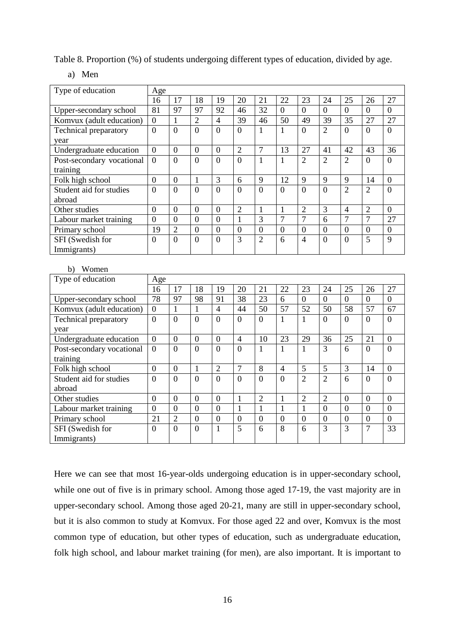Table 8. Proportion (%) of students undergoing different types of education, divided by age.

a) Men

| Type of education            | Age              |                  |                  |                |                |                 |                |                |                |                 |                 |                  |
|------------------------------|------------------|------------------|------------------|----------------|----------------|-----------------|----------------|----------------|----------------|-----------------|-----------------|------------------|
|                              | 16               | 17               | 18               | 19             | 20             | 21              | 22             | 23             | 24             | 25              | 26              | 27               |
| Upper-secondary school       | 81               | $\overline{97}$  | $\overline{97}$  | 92             | 46             | $\overline{32}$ | $\theta$       | $\theta$       | $\overline{0}$ | $\theta$        | $\theta$        | $\overline{0}$   |
| Komvux (adult education)     | $\boldsymbol{0}$ | $\mathbf{1}$     | $\overline{2}$   | $\overline{4}$ | 39             | 46              | 50             | 49             | 39             | 35              | 27              | 27               |
| <b>Technical preparatory</b> | $\Omega$         | $\overline{0}$   | $\overline{0}$   | $\theta$       | $\Omega$       | $\mathbf{1}$    | $\mathbf{1}$   | $\theta$       | $\overline{2}$ | $\theta$        | $\theta$        | $\overline{0}$   |
| year                         |                  |                  |                  |                |                |                 |                |                |                |                 |                 |                  |
| Undergraduate education      | $\overline{0}$   | $\overline{0}$   | $\boldsymbol{0}$ | $\overline{0}$ | $\overline{2}$ | $\tau$          | 13             | 27             | 41             | 42              | 43              | 36               |
| Post-secondary vocational    | $\overline{0}$   | $\overline{0}$   | $\Omega$         | $\overline{0}$ | $\overline{0}$ | $\mathbf{1}$    | 1              | $\overline{2}$ | $\overline{2}$ | $\overline{2}$  | $\overline{0}$  | $\overline{0}$   |
| training                     |                  |                  |                  |                |                |                 |                |                |                |                 |                 |                  |
| Folk high school             | $\overline{0}$   | $\overline{0}$   | $\mathbf{1}$     | $\overline{3}$ | 6              | 9               | 12             | 9              | 9              | 9               | 14              | $\overline{0}$   |
| Student aid for studies      | $\overline{0}$   | $\overline{0}$   | $\theta$         | $\overline{0}$ | $\overline{0}$ | $\overline{0}$  | $\theta$       | $\theta$       | $\overline{0}$ | $\overline{2}$  | $\overline{2}$  | $\overline{0}$   |
| abroad                       |                  |                  |                  |                |                |                 |                |                |                |                 |                 |                  |
| Other studies                | $\mathbf{0}$     | $\mathbf{0}$     | $\boldsymbol{0}$ | $\overline{0}$ | $\overline{2}$ | $\mathbf{1}$    | $\mathbf{1}$   | $\overline{2}$ | 3              | $\overline{4}$  | $\overline{2}$  | $\boldsymbol{0}$ |
| Labour market training       | $\overline{0}$   | $\overline{0}$   | $\overline{0}$   | $\overline{0}$ | $\overline{1}$ | $\overline{3}$  | $\overline{7}$ | $\overline{7}$ | $\overline{6}$ | $\overline{7}$  | $\overline{7}$  | $\overline{27}$  |
| Primary school               | 19               | $\overline{2}$   | $\overline{0}$   | $\overline{0}$ | $\mathbf{0}$   | $\overline{0}$  | $\overline{0}$ | $\overline{0}$ | $\overline{0}$ | $\overline{0}$  | $\overline{0}$  | $\boldsymbol{0}$ |
| SFI (Swedish for             | $\overline{0}$   | $\overline{0}$   | $\overline{0}$   | $\overline{0}$ | $\overline{3}$ | $\overline{2}$  | $\overline{6}$ | $\overline{4}$ | $\overline{0}$ | $\overline{0}$  | $\overline{5}$  | $\overline{9}$   |
| Immigrants)                  |                  |                  |                  |                |                |                 |                |                |                |                 |                 |                  |
|                              |                  |                  |                  |                |                |                 |                |                |                |                 |                 |                  |
| Women<br>b)                  |                  |                  |                  |                |                |                 |                |                |                |                 |                 |                  |
| Type of education            | Age              |                  |                  |                |                |                 |                |                |                |                 |                 |                  |
|                              | 16               | 17               | 18               | 19             | 20             | 21              | 22             | 23             | 24             | 25              | 26              | 27               |
| Upper-secondary school       | 78               | 97               | 98               | 91             | 38             | $\overline{23}$ | 6              | $\theta$       | $\theta$       | $\theta$        | $\theta$        | $\overline{0}$   |
| Komvux (adult education)     | $\overline{0}$   | $\mathbf{1}$     | $\mathbf{1}$     | $\overline{4}$ | 44             | 50              | 57             | 52             | 50             | 58              | 57              | 67               |
| <b>Technical preparatory</b> | $\overline{0}$   | $\overline{0}$   | $\theta$         | $\theta$       | $\overline{0}$ | $\overline{0}$  | $\mathbf{1}$   | $\mathbf{1}$   | $\theta$       | $\theta$        | $\theta$        | $\overline{0}$   |
| year                         |                  |                  |                  |                |                |                 |                |                |                |                 |                 |                  |
| Undergraduate education      | $\overline{0}$   | $\overline{0}$   | $\overline{0}$   | $\overline{0}$ | $\overline{4}$ | $\overline{10}$ | 23             | 29             | 36             | $\overline{25}$ | $\overline{21}$ | $\overline{0}$   |
| Post-secondary vocational    | $\overline{0}$   | $\theta$         | $\overline{0}$   | $\theta$       | $\theta$       | $\mathbf{1}$    | $\mathbf{1}$   | $\overline{1}$ | $\overline{3}$ | $\overline{6}$  | $\Omega$        | $\theta$         |
| training                     |                  |                  |                  |                |                |                 |                |                |                |                 |                 |                  |
| Folk high school             | $\boldsymbol{0}$ | $\boldsymbol{0}$ | $\mathbf{1}$     | $\overline{2}$ | $\overline{7}$ | 8               | $\overline{4}$ | $\overline{5}$ | $\overline{5}$ | $\overline{3}$  | 14              | $\boldsymbol{0}$ |
| Student aid for studies      | $\overline{0}$   | $\overline{0}$   | $\overline{0}$   | $\overline{0}$ | $\overline{0}$ | $\overline{0}$  | $\overline{0}$ | $\overline{2}$ | $\overline{2}$ | $\overline{6}$  | $\Omega$        | $\overline{0}$   |
| abroad                       |                  |                  |                  |                |                |                 |                |                |                |                 |                 |                  |
| Other studies                | $\boldsymbol{0}$ | $\mathbf{0}$     | $\boldsymbol{0}$ | $\Omega$       | 1              | $\overline{2}$  | 1              | $\overline{2}$ | $\overline{2}$ | $\Omega$        | $\Omega$        | $\boldsymbol{0}$ |
| Labour market training       | $\overline{0}$   | $\overline{0}$   | $\overline{0}$   | $\overline{0}$ | $\mathbf{1}$   | $\mathbf{1}$    | $\mathbf{1}$   | $\mathbf{1}$   | $\overline{0}$ | $\overline{0}$  | $\overline{0}$  | $\overline{0}$   |
| Primary school               | 21               | $\overline{2}$   | $\overline{0}$   | $\overline{0}$ | $\overline{0}$ | $\overline{0}$  | $\overline{0}$ | $\overline{0}$ | $\overline{0}$ | $\overline{0}$  | $\overline{0}$  | $\overline{0}$   |
| SFI (Swedish for             | $\overline{0}$   | $\overline{0}$   | $\overline{0}$   | $\mathbf{1}$   | 5              | 6               | $\overline{8}$ | 6              | 3              | 3               | $\overline{7}$  | 33               |
| Immigrants)                  |                  |                  |                  |                |                |                 |                |                |                |                 |                 |                  |

Here we can see that most 16-year-olds undergoing education is in upper-secondary school, while one out of five is in primary school. Among those aged 17-19, the vast majority are in upper-secondary school. Among those aged 20-21, many are still in upper-secondary school, but it is also common to study at Komvux. For those aged 22 and over, Komvux is the most common type of education, but other types of education, such as undergraduate education, folk high school, and labour market training (for men), are also important. It is important to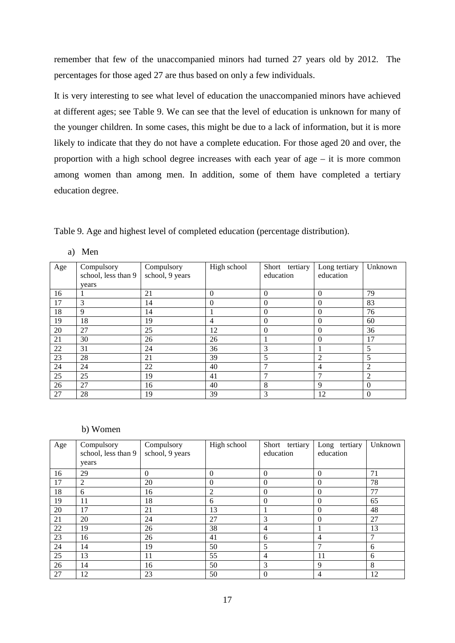remember that few of the unaccompanied minors had turned 27 years old by 2012. The percentages for those aged 27 are thus based on only a few individuals.

It is very interesting to see what level of education the unaccompanied minors have achieved at different ages; see Table 9. We can see that the level of education is unknown for many of the younger children. In some cases, this might be due to a lack of information, but it is more likely to indicate that they do not have a complete education. For those aged 20 and over, the proportion with a high school degree increases with each year of age – it is more common among women than among men. In addition, some of them have completed a tertiary education degree.

Table 9. Age and highest level of completed education (percentage distribution).

a) Men

| Age             | Compulsory<br>school, less than 9 | Compulsory<br>school, 9 years | High school | Short tertiary<br>education | Long tertiary<br>education | Unknown  |
|-----------------|-----------------------------------|-------------------------------|-------------|-----------------------------|----------------------------|----------|
|                 | years                             |                               |             |                             |                            |          |
| 16              |                                   | 21                            | $\Omega$    | $\Omega$                    | $\theta$                   | 79       |
| 17              | 3                                 | 14                            | $\Omega$    | $\Omega$                    | $\Omega$                   | 83       |
| 18              | 9                                 | 14                            |             | $\Omega$                    | $\theta$                   | 76       |
| 19              | 18                                | 19                            | 4           | $\Omega$                    | $\Omega$                   | 60       |
| 20              | 27                                | 25                            | 12          | $\Omega$                    | $\theta$                   | 36       |
| 21              | 30                                | 26                            | 26          |                             | $\Omega$                   | 17       |
| 22              | 31                                | 24                            | 36          | 3                           |                            | 5        |
| $\overline{23}$ | 28                                | 21                            | 39          | 5                           | 2                          | 5        |
| 24              | 24                                | 22                            | 40          |                             | $\overline{4}$             | 2        |
| 25              | 25                                | 19                            | 41          | 7                           | 7                          | 2        |
| 26              | 27                                | 16                            | 40          | 8                           | 9                          | $\Omega$ |
| 27              | 28                                | 19                            | 39          | 3                           | 12                         | $\Omega$ |

b) Women

| Age | Compulsory          | Compulsory      | High school  | Short tertiary | Long tertiary | Unknown       |
|-----|---------------------|-----------------|--------------|----------------|---------------|---------------|
|     | school, less than 9 | school, 9 years |              | education      | education     |               |
|     | years               |                 |              |                |               |               |
| 16  | 29                  | $\Omega$        | $\Omega$     | $\Omega$       | $\Omega$      | 71            |
| 17  | 2                   | 20              | $\mathbf{0}$ | $\Omega$       | $\Omega$      | 78            |
| 18  | 6                   | 16              | 2            | $\Omega$       | $\Omega$      | 77            |
| 19  | 11                  | 18              | 6            | $\Omega$       | $\Omega$      | 65            |
| 20  | 17                  | 21              | 13           |                | $\Omega$      | 48            |
| 21  | 20                  | 24              | 27           | 3              | $\Omega$      | 27            |
| 22  | 19                  | 26              | 38           | $\overline{4}$ |               | 13            |
| 23  | 16                  | 26              | 41           | 6              | 4             | $\mathcal{I}$ |
| 24  | 14                  | 19              | 50           | 5              |               | 6             |
| 25  | 13                  | 11              | 55           | 4              | 11            | 6             |
| 26  | 14                  | 16              | 50           | 3              | 9             | 8             |
| 27  | 12                  | 23              | 50           | $\Omega$       | 4             | 12            |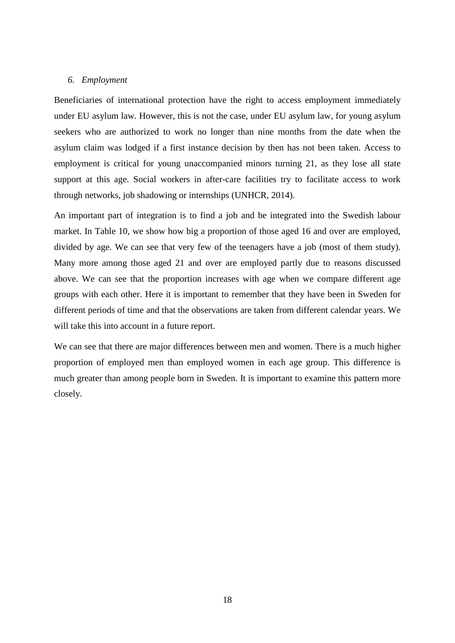#### *6. Employment*

Beneficiaries of international protection have the right to access employment immediately under EU asylum law. However, this is not the case, under EU asylum law, for young asylum seekers who are authorized to work no longer than nine months from the date when the asylum claim was lodged if a first instance decision by then has not been taken. Access to employment is critical for young unaccompanied minors turning 21, as they lose all state support at this age. Social workers in after-care facilities try to facilitate access to work through networks, job shadowing or internships (UNHCR, 2014).

An important part of integration is to find a job and be integrated into the Swedish labour market. In Table 10, we show how big a proportion of those aged 16 and over are employed, divided by age. We can see that very few of the teenagers have a job (most of them study). Many more among those aged 21 and over are employed partly due to reasons discussed above. We can see that the proportion increases with age when we compare different age groups with each other. Here it is important to remember that they have been in Sweden for different periods of time and that the observations are taken from different calendar years. We will take this into account in a future report.

We can see that there are major differences between men and women. There is a much higher proportion of employed men than employed women in each age group. This difference is much greater than among people born in Sweden. It is important to examine this pattern more closely.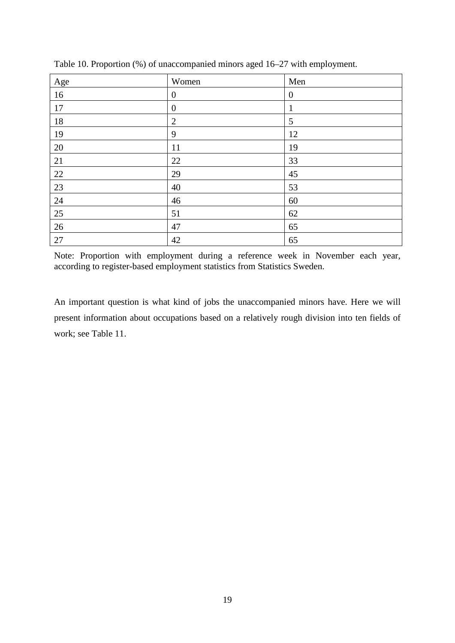| Age | Women            | Men              |
|-----|------------------|------------------|
| 16  | $\boldsymbol{0}$ | $\boldsymbol{0}$ |
| 17  | $\boldsymbol{0}$ | 1                |
| 18  | $\overline{2}$   | 5                |
| 19  | 9                | 12               |
| 20  | 11               | 19               |
| 21  | 22               | 33               |
| 22  | 29               | 45               |
| 23  | 40               | 53               |
| 24  | 46               | 60               |
| 25  | 51               | 62               |
| 26  | 47               | 65               |
| 27  | 42               | 65               |

Table 10. Proportion (%) of unaccompanied minors aged 16–27 with employment.

Note: Proportion with employment during a reference week in November each year, according to register-based employment statistics from Statistics Sweden.

An important question is what kind of jobs the unaccompanied minors have. Here we will present information about occupations based on a relatively rough division into ten fields of work; see Table 11.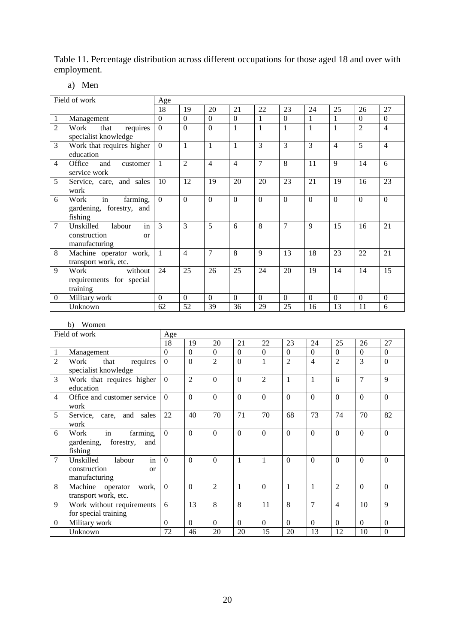Table 11. Percentage distribution across different occupations for those aged 18 and over with employment.

### a) Men

|                | Field of work                                                          | Age            |                |                |                |          |                |              |          |                |                |
|----------------|------------------------------------------------------------------------|----------------|----------------|----------------|----------------|----------|----------------|--------------|----------|----------------|----------------|
|                |                                                                        | 18             | 19             | 20             | 21             | 22       | 23             | 24           | 25       | 26             | 27             |
| 1              | Management                                                             | $\Omega$       | $\Omega$       | $\Omega$       | $\Omega$       | 1        | $\Omega$       | 1            | 1        | $\Omega$       | $\Omega$       |
| $\overline{c}$ | requires<br>Work<br>that<br>specialist knowledge                       | $\overline{0}$ | $\overline{0}$ | $\theta$       | 1              | 1        | $\mathbf{1}$   | $\mathbf{1}$ | 1        | $\overline{2}$ | $\overline{4}$ |
| 3              | Work that requires higher<br>education                                 | $\overline{0}$ | $\mathbf{1}$   | 1              | 1              | 3        | $\overline{3}$ | 3            | 4        | 5              | 4              |
| 4              | Office<br>and<br>customer<br>service work                              | 1              | $\overline{2}$ | $\overline{4}$ | $\overline{4}$ | 7        | 8              | 11           | 9        | 14             | 6              |
| 5              | Service, care, and sales<br>work                                       | 10             | 12             | 19             | 20             | 20       | 23             | 21           | 19       | 16             | 23             |
| 6              | in<br>farming,<br>Work<br>gardening, forestry, and<br>fishing          | $\overline{0}$ | $\overline{0}$ | $\Omega$       | $\theta$       | $\theta$ | $\theta$       | $\Omega$     | $\theta$ | $\Omega$       | $\Omega$       |
| $\overline{7}$ | in<br>Unskilled<br>labour<br>construction<br>$\alpha$<br>manufacturing | 3              | $\mathcal{E}$  | 5              | 6              | 8        | $\overline{7}$ | $\mathbf{Q}$ | 15       | 16             | 21             |
| 8              | Machine operator work,<br>transport work, etc.                         | 1              | $\overline{4}$ | 7              | 8              | 9        | 13             | 18           | 23       | 22             | 21             |
| 9              | Work<br>without<br>requirements for special<br>training                | 24             | 25             | 26             | 25             | 24       | 20             | 19           | 14       | 14             | 15             |
| $\mathbf{0}$   | Military work                                                          | $\theta$       | $\Omega$       | $\Omega$       | $\Omega$       | $\Omega$ | $\Omega$       | $\Omega$     | $\Omega$ | $\Omega$       | $\Omega$       |
|                | Unknown                                                                | 62             | 52             | 39             | 36             | 29       | 25             | 16           | 13       | 11             | 6              |
|                |                                                                        |                |                |                |                |          |                |              |          |                |                |

#### b) Women

| Field of work  |                                                                        | Age      |                |                |              |                |                |                          |                |                |              |
|----------------|------------------------------------------------------------------------|----------|----------------|----------------|--------------|----------------|----------------|--------------------------|----------------|----------------|--------------|
|                |                                                                        | 18       | 19             | 20             | 21           | 22             | 23             | 24                       | 25             | 26             | 27           |
| $\mathbf{1}$   | Management                                                             | $\Omega$ | $\Omega$       | $\theta$       | $\Omega$     | $\Omega$       | $\overline{0}$ | $\Omega$                 | $\Omega$       | $\Omega$       | $\Omega$     |
| $\overline{2}$ | Work<br>requires<br>that<br>specialist knowledge                       | $\Omega$ | $\Omega$       | $\overline{2}$ | $\Omega$     |                | $\overline{2}$ | $\overline{\mathcal{A}}$ | $\overline{2}$ | 3              | $\Omega$     |
| 3              | Work that requires higher<br>education                                 | $\Omega$ | $\mathfrak{D}$ | $\Omega$       | $\Omega$     | $\overline{2}$ | $\mathbf{1}$   | 1                        | 6              | $\overline{7}$ | $\mathbf Q$  |
| $\overline{4}$ | Office and customer service<br>work                                    | $\Omega$ | $\Omega$       | $\Omega$       | $\Omega$     | $\Omega$       | $\Omega$       | $\Omega$                 | $\Omega$       | $\Omega$       | $\Omega$     |
| 5              | Service, care, and sales<br>work                                       | 22       | 40             | 70             | 71           | 70             | 68             | 73                       | 74             | 70             | 82           |
| 6              | in<br>farming,<br>Work<br>forestry,<br>gardening,<br>and<br>fishing    | $\theta$ | $\Omega$       | $\Omega$       | $\Omega$     | $\Omega$       | $\Omega$       | $\Omega$                 | $\Omega$       | $\Omega$       | $\Omega$     |
| 7              | in<br>Unskilled<br>labour<br>construction<br>$\alpha$<br>manufacturing | $\Omega$ | $\Omega$       | $\Omega$       | $\mathbf{1}$ | 1              | $\Omega$       | $\Omega$                 | $\Omega$       | $\Omega$       | $\Omega$     |
| 8              | Machine operator<br>work,<br>transport work, etc.                      | $\Omega$ | $\Omega$       | $\overline{2}$ | 1            | $\Omega$       | $\mathbf{1}$   | 1                        | $\overline{2}$ | $\Omega$       | $\Omega$     |
| 9              | Work without requirements<br>for special training                      | 6        | 13             | 8              | 8            | 11             | 8              | 7                        | 4              | 10             | 9            |
| $\Omega$       | Military work                                                          | $\Omega$ | $\Omega$       | $\Omega$       | $\Omega$     | $\Omega$       | $\Omega$       | $\Omega$                 | $\Omega$       | $\Omega$       | $\Omega$     |
|                | Unknown                                                                | 72       | 46             | 20             | 20           | 15             | 20             | 13                       | 12             | 10             | $\mathbf{0}$ |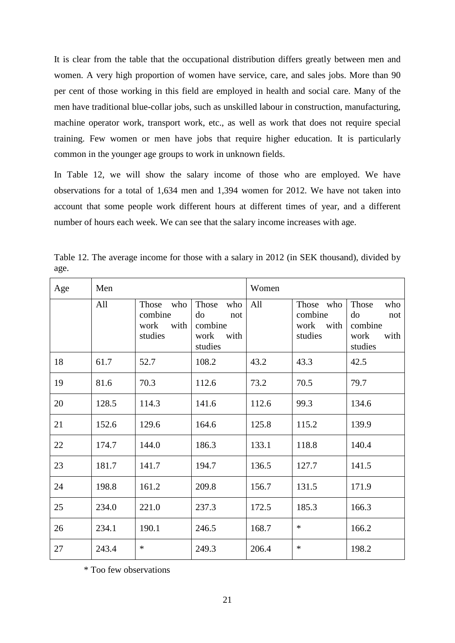It is clear from the table that the occupational distribution differs greatly between men and women. A very high proportion of women have service, care, and sales jobs. More than 90 per cent of those working in this field are employed in health and social care. Many of the men have traditional blue-collar jobs, such as unskilled labour in construction, manufacturing, machine operator work, transport work, etc., as well as work that does not require special training. Few women or men have jobs that require higher education. It is particularly common in the younger age groups to work in unknown fields.

In Table 12, we will show the salary income of those who are employed. We have observations for a total of 1,634 men and 1,394 women for 2012. We have not taken into account that some people work different hours at different times of year, and a different number of hours each week. We can see that the salary income increases with age.

| Age | Men   |                                                    |                                                                 | Women |                                              |                                                                 |
|-----|-------|----------------------------------------------------|-----------------------------------------------------------------|-------|----------------------------------------------|-----------------------------------------------------------------|
|     | All   | Those<br>who<br>combine<br>with<br>work<br>studies | Those<br>who<br>do<br>not<br>combine<br>with<br>work<br>studies | All   | Those who<br>combine<br>work with<br>studies | Those<br>who<br>do<br>not<br>combine<br>with<br>work<br>studies |
| 18  | 61.7  | 52.7                                               | 108.2                                                           | 43.2  | 43.3                                         | 42.5                                                            |
| 19  | 81.6  | 70.3                                               | 112.6                                                           | 73.2  | 70.5                                         | 79.7                                                            |
| 20  | 128.5 | 114.3                                              | 141.6                                                           | 112.6 | 99.3                                         | 134.6                                                           |
| 21  | 152.6 | 129.6                                              | 164.6                                                           | 125.8 | 115.2                                        | 139.9                                                           |
| 22  | 174.7 | 144.0                                              | 186.3                                                           | 133.1 | 118.8                                        | 140.4                                                           |
| 23  | 181.7 | 141.7                                              | 194.7                                                           | 136.5 | 127.7                                        | 141.5                                                           |
| 24  | 198.8 | 161.2                                              | 209.8                                                           | 156.7 | 131.5                                        | 171.9                                                           |
| 25  | 234.0 | 221.0                                              | 237.3                                                           | 172.5 | 185.3                                        | 166.3                                                           |
| 26  | 234.1 | 190.1                                              | 246.5                                                           | 168.7 | $\ast$                                       | 166.2                                                           |
| 27  | 243.4 | $\ast$                                             | 249.3                                                           | 206.4 | $\ast$                                       | 198.2                                                           |

Table 12. The average income for those with a salary in 2012 (in SEK thousand), divided by age.

\* Too few observations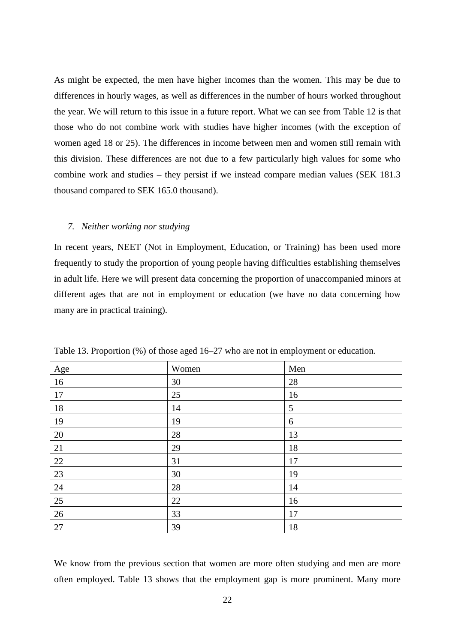As might be expected, the men have higher incomes than the women. This may be due to differences in hourly wages, as well as differences in the number of hours worked throughout the year. We will return to this issue in a future report. What we can see from Table 12 is that those who do not combine work with studies have higher incomes (with the exception of women aged 18 or 25). The differences in income between men and women still remain with this division. These differences are not due to a few particularly high values for some who combine work and studies – they persist if we instead compare median values (SEK 181.3 thousand compared to SEK 165.0 thousand).

#### *7. Neither working nor studying*

In recent years, NEET (Not in Employment, Education, or Training) has been used more frequently to study the proportion of young people having difficulties establishing themselves in adult life. Here we will present data concerning the proportion of unaccompanied minors at different ages that are not in employment or education (we have no data concerning how many are in practical training).

| Age    | Women  | Men |
|--------|--------|-----|
| 16     | 30     | 28  |
| 17     | 25     | 16  |
| 18     | 14     | 5   |
| 19     | 19     | 6   |
| 20     | 28     | 13  |
| 21     | 29     | 18  |
| 22     | 31     | 17  |
| 23     | $30\,$ | 19  |
| $24\,$ | 28     | 14  |
| 25     | 22     | 16  |
| 26     | 33     | 17  |
| 27     | 39     | 18  |

Table 13. Proportion (%) of those aged 16–27 who are not in employment or education.

We know from the previous section that women are more often studying and men are more often employed. Table 13 shows that the employment gap is more prominent. Many more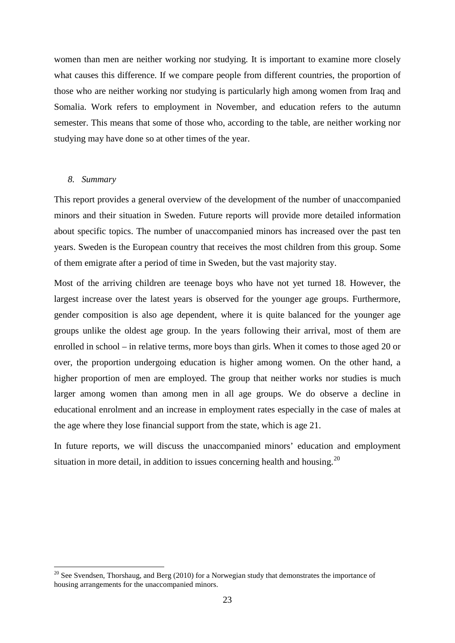women than men are neither working nor studying. It is important to examine more closely what causes this difference. If we compare people from different countries, the proportion of those who are neither working nor studying is particularly high among women from Iraq and Somalia. Work refers to employment in November, and education refers to the autumn semester. This means that some of those who, according to the table, are neither working nor studying may have done so at other times of the year.

#### *8. Summary*

This report provides a general overview of the development of the number of unaccompanied minors and their situation in Sweden. Future reports will provide more detailed information about specific topics. The number of unaccompanied minors has increased over the past ten years. Sweden is the European country that receives the most children from this group. Some of them emigrate after a period of time in Sweden, but the vast majority stay.

Most of the arriving children are teenage boys who have not yet turned 18. However, the largest increase over the latest years is observed for the younger age groups. Furthermore, gender composition is also age dependent, where it is quite balanced for the younger age groups unlike the oldest age group. In the years following their arrival, most of them are enrolled in school – in relative terms, more boys than girls. When it comes to those aged 20 or over, the proportion undergoing education is higher among women. On the other hand, a higher proportion of men are employed. The group that neither works nor studies is much larger among women than among men in all age groups. We do observe a decline in educational enrolment and an increase in employment rates especially in the case of males at the age where they lose financial support from the state, which is age 21.

In future reports, we will discuss the unaccompanied minors' education and employment situation in more detail, in addition to issues concerning health and housing.<sup>[20](#page-15-0)</sup>

<sup>&</sup>lt;sup>20</sup> See Svendsen, Thorshaug, and Berg (2010) for a Norwegian study that demonstrates the importance of housing arrangements for the unaccompanied minors.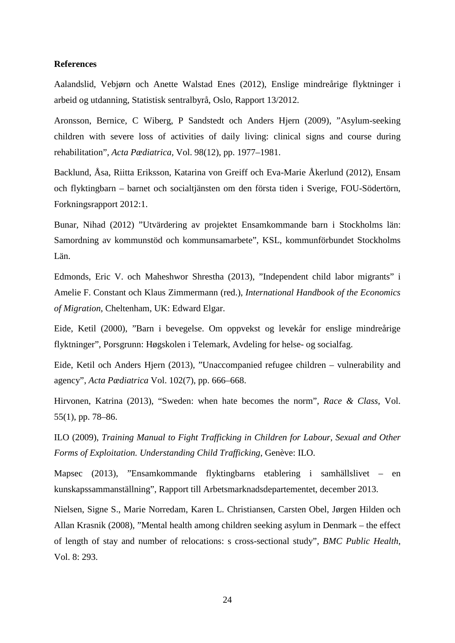#### **References**

Aalandslid, Vebjørn och Anette Walstad Enes (2012), Enslige mindreårige flyktninger i arbeid og utdanning, Statistisk sentralbyrå, Oslo, Rapport 13/2012.

Aronsson, Bernice, C Wiberg, P Sandstedt och Anders Hjern (2009), "Asylum-seeking children with severe loss of activities of daily living: clinical signs and course during rehabilitation", *Acta Pædiatrica,* Vol. 98(12), pp. 1977–1981.

Backlund, Åsa, Riitta Eriksson, Katarina von Greiff och Eva-Marie Åkerlund (2012), Ensam och flyktingbarn – barnet och socialtjänsten om den första tiden i Sverige, FOU-Södertörn, Forkningsrapport 2012:1.

Bunar, Nihad (2012) "Utvärdering av projektet Ensamkommande barn i Stockholms län: Samordning av kommunstöd och kommunsamarbete", KSL, kommunförbundet Stockholms Län.

Edmonds, Eric V. och Maheshwor Shrestha (2013), "Independent child labor migrants" i Amelie F. Constant och Klaus Zimmermann (red.), *International Handbook of the Economics of Migration*, Cheltenham, UK: Edward Elgar.

Eide, Ketil (2000), "Barn i bevegelse. Om oppvekst og levekår for enslige mindreårige flyktninger", Porsgrunn: Høgskolen i Telemark, Avdeling for helse- og socialfag.

Eide, Ketil och Anders Hjern (2013), "Unaccompanied refugee children – vulnerability and agency", *Acta Pædiatrica* Vol. 102(7), pp. 666–668.

Hirvonen, Katrina (2013), "Sweden: when hate becomes the norm", *Race & Class*, Vol. 55(1), pp. 78–86.

ILO (2009), *Training Manual to Fight Trafficking in Children for Labour, Sexual and Other Forms of Exploitation. Understanding Child Trafficking*, Genève: ILO.

Mapsec (2013), "Ensamkommande flyktingbarns etablering i samhällslivet – en kunskapssammanställning", Rapport till Arbetsmarknadsdepartementet, december 2013.

Nielsen, Signe S., Marie Norredam, Karen L. Christiansen, Carsten Obel, Jørgen Hilden och Allan Krasnik (2008), "Mental health among children seeking asylum in Denmark – the effect of length of stay and number of relocations: s cross-sectional study", *BMC Public Health*, Vol. 8: 293.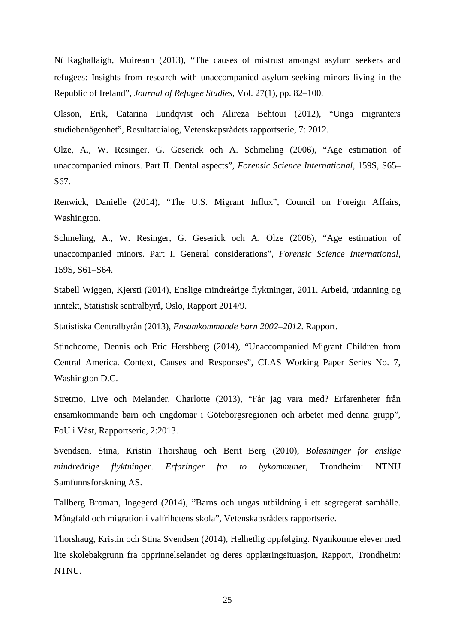Nί Raghallaigh, Muireann (2013), "The causes of mistrust amongst asylum seekers and refugees: Insights from research with unaccompanied asylum-seeking minors living in the Republic of Ireland", *Journal of Refugee Studies*, Vol. 27(1), pp. 82–100.

Olsson, Erik, Catarina Lundqvist och Alireza Behtoui (2012), "Unga migranters studiebenägenhet", Resultatdialog, Vetenskapsrådets rapportserie, 7: 2012.

Olze, A., W. Resinger, G. Geserick och A. Schmeling (2006), "Age estimation of unaccompanied minors. Part II. Dental aspects", *Forensic Science International*, 159S, S65– S67.

Renwick, Danielle (2014), "The U.S. Migrant Influx", Council on Foreign Affairs, Washington.

Schmeling, A., W. Resinger, G. Geserick och A. Olze (2006), "Age estimation of unaccompanied minors. Part I. General considerations", *Forensic Science International*, 159S, S61–S64.

Stabell Wiggen, Kjersti (2014), Enslige mindreårige flyktninger, 2011. Arbeid, utdanning og inntekt, Statistisk sentralbyrå, Oslo, Rapport 2014/9.

Statistiska Centralbyrån (2013), *Ensamkommande barn 2002–2012*. Rapport.

Stinchcome, Dennis och Eric Hershberg (2014), "Unaccompanied Migrant Children from Central America. Context, Causes and Responses", CLAS Working Paper Series No. 7, Washington D.C.

Stretmo, Live och Melander, Charlotte (2013), "Får jag vara med? Erfarenheter från ensamkommande barn och ungdomar i Göteborgsregionen och arbetet med denna grupp", FoU i Väst, Rapportserie, 2:2013.

Svendsen, Stina, Kristin Thorshaug och Berit Berg (2010), *Boløsninger for enslige mindreårige flyktninger. Erfaringer fra to bykommune*r, Trondheim: NTNU Samfunnsforskning AS.

Tallberg Broman, Ingegerd (2014), "Barns och ungas utbildning i ett segregerat samhälle. Mångfald och migration i valfrihetens skola", Vetenskapsrådets rapportserie.

Thorshaug, Kristin och Stina Svendsen (2014), Helhetlig oppfølging. Nyankomne elever med lite skolebakgrunn fra opprinnelselandet og deres opplæringsituasjon, Rapport, Trondheim: NTNU.